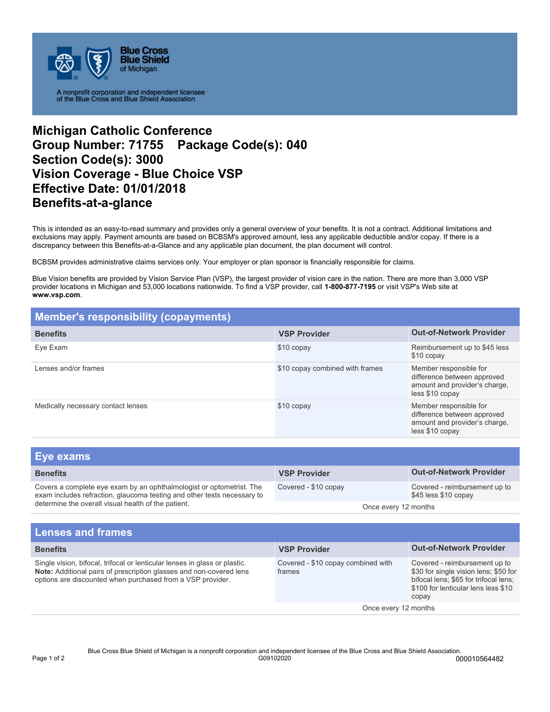

A nonprofit corporation and independent licensee<br>of the Blue Cross and Blue Shield Association

## **Michigan Catholic Conference Group Number: 71755 Package Code(s): 040 Section Code(s): 3000 Vision Coverage - Blue Choice VSP Effective Date: 01/01/2018 Benefits-at-a-glance**

This is intended as an easy-to-read summary and provides only a general overview of your benefits. It is not a contract. Additional limitations and exclusions may apply. Payment amounts are based on BCBSM's approved amount, less any applicable deductible and/or copay. If there is a discrepancy between this Benefits-at-a-Glance and any applicable plan document, the plan document will control.

BCBSM provides administrative claims services only. Your employer or plan sponsor is financially responsible for claims.

Blue Vision benefits are provided by Vision Service Plan (VSP), the largest provider of vision care in the nation. There are more than 3,000 VSP provider locations in Michigan and 53,000 locations nationwide. To find a VSP provider, call **1-800-877-7195** or visit VSP's Web site at **www.vsp.com**.

| <b>Member's responsibility (copayments)</b> |                                 |                                                                                                           |  |
|---------------------------------------------|---------------------------------|-----------------------------------------------------------------------------------------------------------|--|
| <b>Benefits</b>                             | <b>VSP Provider</b>             | <b>Out-of-Network Provider</b>                                                                            |  |
| Eve Exam                                    | \$10 copay                      | Reimbursement up to \$45 less<br>\$10 copay                                                               |  |
| Lenses and/or frames                        | \$10 copay combined with frames | Member responsible for<br>difference between approved<br>amount and provider's charge,<br>less \$10 copay |  |
| Medically necessary contact lenses          | \$10 copay                      | Member responsible for<br>difference between approved<br>amount and provider's charge,<br>less \$10 copay |  |

| <b>Eye exams</b>                                                                                                                                                                                       |                      |                                                       |
|--------------------------------------------------------------------------------------------------------------------------------------------------------------------------------------------------------|----------------------|-------------------------------------------------------|
| <b>Benefits</b>                                                                                                                                                                                        | <b>VSP Provider</b>  | <b>Out-of-Network Provider</b>                        |
| Covers a complete eye exam by an ophthalmologist or optometrist. The<br>exam includes refraction, glaucoma testing and other tests necessary to<br>determine the overall visual health of the patient. | Covered - \$10 copay | Covered - reimbursement up to<br>\$45 less \$10 copay |
|                                                                                                                                                                                                        | Once every 12 months |                                                       |
|                                                                                                                                                                                                        |                      |                                                       |

| <b>VSP Provider</b>                          | <b>Out-of-Network Provider</b>                                                                                                                                  |
|----------------------------------------------|-----------------------------------------------------------------------------------------------------------------------------------------------------------------|
| Covered - \$10 copay combined with<br>frames | Covered - reimbursement up to<br>\$30 for single vision lens; \$50 for<br>bifocal lens; \$65 for trifocal lens;<br>\$100 for lenticular lens less \$10<br>copay |
| Once every 12 months                         |                                                                                                                                                                 |
|                                              |                                                                                                                                                                 |

Blue Cross Blue Shield of Michigan is a nonprofit corporation and independent licensee of the Blue Cross and Blue Shield Association.<br>000010564482 Page 1 of 2 G09102020 000010564482